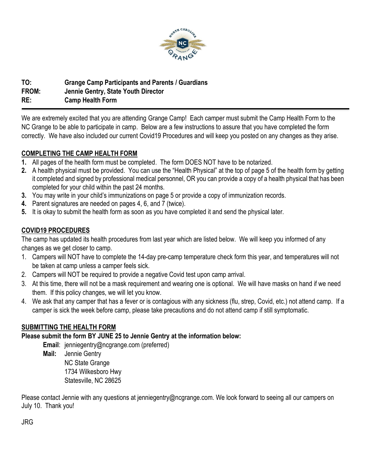

# **TO: Grange Camp Participants and Parents / Guardians FROM: Jennie Gentry, State Youth Director RE: Camp Health Form**

We are extremely excited that you are attending Grange Camp! Each camper must submit the Camp Health Form to the NC Grange to be able to participate in camp. Below are a few instructions to assure that you have completed the form correctly. We have also included our current Covid19 Procedures and will keep you posted on any changes as they arise.

## **COMPLETING THE CAMP HEALTH FORM**

- **1.** All pages of the health form must be completed. The form DOES NOT have to be notarized.
- **2.** A health physical must be provided. You can use the "Health Physical" at the top of page 5 of the health form by getting it completed and signed by professional medical personnel, OR you can provide a copy of a health physical that has been completed for your child within the past 24 months.
- **3.** You may write in your child's immunizations on page 5 or provide a copy of immunization records.
- **4.** Parent signatures are needed on pages 4, 6, and 7 (twice).
- **5.** It is okay to submit the health form as soon as you have completed it and send the physical later.

## **COVID19 PROCEDURES**

The camp has updated its health procedures from last year which are listed below. We will keep you informed of any changes as we get closer to camp.

- 1. Campers will NOT have to complete the 14-day pre-camp temperature check form this year, and temperatures will not be taken at camp unless a camper feels sick.
- 2. Campers will NOT be required to provide a negative Covid test upon camp arrival.
- 3. At this time, there will not be a mask requirement and wearing one is optional. We will have masks on hand if we need them. If this policy changes, we will let you know.
- 4. We ask that any camper that has a fever or is contagious with any sickness (flu, strep, Covid, etc.) not attend camp. If a camper is sick the week before camp, please take precautions and do not attend camp if still symptomatic.

## **SUBMITTING THE HEALTH FORM**

## **Please submit the form BY JUNE 25 to Jennie Gentry at the information below:**

**Email**: jenniegentry@ncgrange.com (preferred)

**Mail:** Jennie Gentry

NC State Grange 1734 Wilkesboro Hwy Statesville, NC 28625

Please contact Jennie with any questions at jenniegentry@ncgrange.com. We look forward to seeing all our campers on July 10. Thank you!

JRG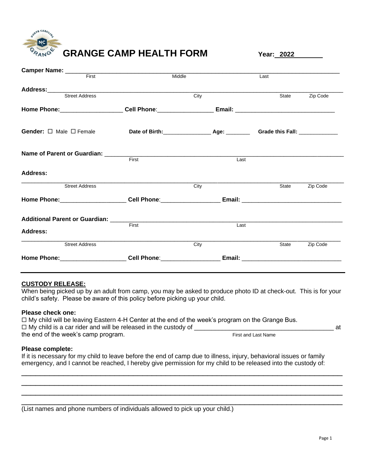

**GRANGE CAMP HEALTH FORM Year: <sup>2022</sup>**

| <b>Camper Name:</b> First                                                                                                                                                                                                     |       |        |      |       |                |
|-------------------------------------------------------------------------------------------------------------------------------------------------------------------------------------------------------------------------------|-------|--------|------|-------|----------------|
|                                                                                                                                                                                                                               |       | Middle |      | Last  |                |
| Address:<br>Street Address<br>Street Address                                                                                                                                                                                  |       |        |      |       |                |
|                                                                                                                                                                                                                               |       | City   |      | State | Zip Code       |
| <u>Home Phone:_____________________</u> Cell Phone:________________ Email: _______________________________                                                                                                                    |       |        |      |       |                |
| Gender: □ Male □ Female                                                                                                                                                                                                       |       |        |      |       |                |
| Name of Parent or Guardian: First                                                                                                                                                                                             |       |        | Last |       |                |
| Address:                                                                                                                                                                                                                      |       |        |      |       |                |
| <b>Street Address</b>                                                                                                                                                                                                         |       | City   |      |       | State Zip Code |
| Home Phone: Cell Phone: Cell Phone: Email: Comparent Phone Phone: Cell Phone: Cell Phone: Cell Phone: Cell Phone: Cell Phone: Cell Phone: Cell Phone: Cell Phone: Cell Phone: Cell Phone: Cell Phone: Cell Phone: Cell Phone: |       |        |      |       |                |
|                                                                                                                                                                                                                               |       |        |      |       |                |
| Address:                                                                                                                                                                                                                      | First |        | Last |       |                |
| <b>Street Address</b>                                                                                                                                                                                                         |       | City   |      | State | Zip Code       |
|                                                                                                                                                                                                                               |       |        |      |       |                |

## **CUSTODY RELEASE:**

When being picked up by an adult from camp, you may be asked to produce photo ID at check-out. This is for your child's safety. Please be aware of this policy before picking up your child.

### **Please check one:**

 $\Box$  My child will be leaving Eastern 4-H Center at the end of the week's program on the Grange Bus.  $\Box$  My child is a car rider and will be released in the custody of  $\Box$ the end of the week's camp program. The state of the week's camp program.

## **Please complete:**

If it is necessary for my child to leave before the end of camp due to illness, injury, behavioral issues or family emergency, and I cannot be reached, I hereby give permission for my child to be released into the custody of:

\_\_\_\_\_\_\_\_\_\_\_\_\_\_\_\_\_\_\_\_\_\_\_\_\_\_\_\_\_\_\_\_\_\_\_\_\_\_\_\_\_\_\_\_\_\_\_\_\_\_\_\_\_\_\_\_\_\_\_\_\_\_\_\_\_\_\_\_\_ \_\_\_\_\_\_\_\_\_\_\_\_\_\_\_\_\_\_\_\_\_\_\_\_\_\_\_\_\_\_\_\_\_\_\_\_\_\_\_\_\_\_\_\_\_\_\_\_\_\_\_\_\_\_\_\_\_\_\_\_\_\_\_\_\_\_\_\_\_ \_\_\_\_\_\_\_\_\_\_\_\_\_\_\_\_\_\_\_\_\_\_\_\_\_\_\_\_\_\_\_\_\_\_\_\_\_\_\_\_\_\_\_\_\_\_\_\_\_\_\_\_\_\_\_\_\_\_\_\_\_\_\_\_\_\_\_\_\_ \_\_\_\_\_\_\_\_\_\_\_\_\_\_\_\_\_\_\_\_\_\_\_\_\_\_\_\_\_\_\_\_\_\_\_\_\_\_\_\_\_\_\_\_\_\_\_\_\_\_\_\_\_\_\_\_\_\_\_\_\_\_\_\_\_\_\_\_\_

(List names and phone numbers of individuals allowed to pick up your child.)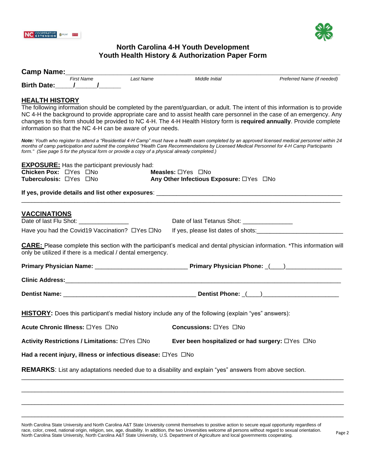



## **North Carolina 4-H Youth Development Youth Health History & Authorization Paper Form**

|                                                                          | <b>Camp Name:</b> First Name Last Name                                                                             |                                                                                                                                                                                 |                                                                                                                                                                                                                                                                                                                                                                                                                                                                                                                                                                                                                                                                                    |
|--------------------------------------------------------------------------|--------------------------------------------------------------------------------------------------------------------|---------------------------------------------------------------------------------------------------------------------------------------------------------------------------------|------------------------------------------------------------------------------------------------------------------------------------------------------------------------------------------------------------------------------------------------------------------------------------------------------------------------------------------------------------------------------------------------------------------------------------------------------------------------------------------------------------------------------------------------------------------------------------------------------------------------------------------------------------------------------------|
|                                                                          | Birth Date: 1 1                                                                                                    | Middle Initial                                                                                                                                                                  | Preferred Name (if needed)                                                                                                                                                                                                                                                                                                                                                                                                                                                                                                                                                                                                                                                         |
|                                                                          |                                                                                                                    |                                                                                                                                                                                 |                                                                                                                                                                                                                                                                                                                                                                                                                                                                                                                                                                                                                                                                                    |
| <b>HEALTH HISTORY</b><br>Chicken Pox: □Yes □No<br>Tuberculosis: OYes ONo | information so that the NC 4-H can be aware of your needs.<br><b>EXPOSURE:</b> Has the participant previously had: | form." (See page 5 for the physical form or provide a copy of a physical already completed.)<br><b>Measles:</b> $\Box$ Yes $\Box$ No<br>Any Other Infectious Exposure: □Yes □No | The following information should be completed by the parent/guardian, or adult. The intent of this information is to provide<br>NC 4-H the background to provide appropriate care and to assist health care personnel in the case of an emergency. Any<br>changes to this form should be provided to NC 4-H. The 4-H Health History form is required annually. Provide complete<br>Note: Youth who register to attend a "Residential 4-H Camp" must have a health exam completed by an approved licensed medical personnel within 24<br>months of camp participation and submit the completed "Health Care Recommendations by Licensed Medical Personnel for 4-H Camp Participants |
|                                                                          |                                                                                                                    |                                                                                                                                                                                 |                                                                                                                                                                                                                                                                                                                                                                                                                                                                                                                                                                                                                                                                                    |
| <b>VACCINATIONS</b>                                                      |                                                                                                                    |                                                                                                                                                                                 |                                                                                                                                                                                                                                                                                                                                                                                                                                                                                                                                                                                                                                                                                    |
|                                                                          | Have you had the Covid19 Vaccination? □Yes □No                                                                     |                                                                                                                                                                                 |                                                                                                                                                                                                                                                                                                                                                                                                                                                                                                                                                                                                                                                                                    |
|                                                                          | only be utilized if there is a medical / dental emergency.                                                         |                                                                                                                                                                                 | <b>CARE:</b> Please complete this section with the participant's medical and dental physician information. *This information will                                                                                                                                                                                                                                                                                                                                                                                                                                                                                                                                                  |
|                                                                          |                                                                                                                    |                                                                                                                                                                                 |                                                                                                                                                                                                                                                                                                                                                                                                                                                                                                                                                                                                                                                                                    |
|                                                                          |                                                                                                                    |                                                                                                                                                                                 |                                                                                                                                                                                                                                                                                                                                                                                                                                                                                                                                                                                                                                                                                    |
|                                                                          |                                                                                                                    |                                                                                                                                                                                 |                                                                                                                                                                                                                                                                                                                                                                                                                                                                                                                                                                                                                                                                                    |
|                                                                          |                                                                                                                    | <b>HISTORY:</b> Does this participant's medial history include any of the following (explain "yes" answers):                                                                    |                                                                                                                                                                                                                                                                                                                                                                                                                                                                                                                                                                                                                                                                                    |
|                                                                          | Acute Chronic Illness: □Yes □No                                                                                    | <b>Concussions:</b> $\Box$ Yes $\Box$ No                                                                                                                                        |                                                                                                                                                                                                                                                                                                                                                                                                                                                                                                                                                                                                                                                                                    |
|                                                                          | Activity Restrictions / Limitations: □Yes □No                                                                      | Ever been hospitalized or had surgery: $\Box$ Yes $\Box$ No                                                                                                                     |                                                                                                                                                                                                                                                                                                                                                                                                                                                                                                                                                                                                                                                                                    |
|                                                                          | Had a recent injury, illness or infectious disease: $\Box$ Yes $\Box$ No                                           |                                                                                                                                                                                 |                                                                                                                                                                                                                                                                                                                                                                                                                                                                                                                                                                                                                                                                                    |
|                                                                          |                                                                                                                    | <b>REMARKS:</b> List any adaptations needed due to a disability and explain "yes" answers from above section.                                                                   |                                                                                                                                                                                                                                                                                                                                                                                                                                                                                                                                                                                                                                                                                    |
|                                                                          |                                                                                                                    |                                                                                                                                                                                 |                                                                                                                                                                                                                                                                                                                                                                                                                                                                                                                                                                                                                                                                                    |
|                                                                          |                                                                                                                    |                                                                                                                                                                                 |                                                                                                                                                                                                                                                                                                                                                                                                                                                                                                                                                                                                                                                                                    |

North Carolina State University and North Carolina A&T State University commit themselves to positive action to secure equal opportunity regardless of race, color, creed, national origin, religion, sex, age, disability. In addition, the two Universities welcome all persons without regard to sexual orientation. race, color, creed, national oright, religion, sex, age, disability. In addition, the two Universities welcome all persons without regard to sexual orientation. Page 2<br>North Carolina State University, North Carolina A&T St

 $\Box$ 

\_\_\_\_\_\_\_\_\_\_\_\_\_\_\_\_\_\_\_\_\_\_\_\_\_\_\_\_\_\_\_\_\_\_\_\_\_\_\_\_\_\_\_\_\_\_\_\_\_\_\_\_\_\_\_\_\_\_\_\_\_\_\_\_\_\_\_\_\_\_\_\_\_\_\_\_\_\_\_\_\_\_\_\_\_\_\_\_\_\_\_\_\_\_\_\_\_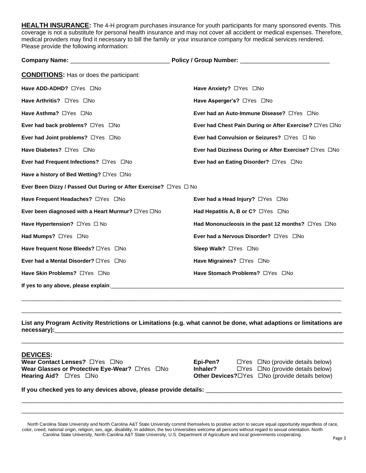**HEALTH INSURANCE:** The 4-H program purchases insurance for youth participants for many sponsored events. This coverage is not a substitute for personal health insurance and may not cover all accident or medical expenses. Therefore, medical providers may find it necessary to bill the family or your insurance company for medical services rendered. Please provide the following information:

| <b>CONDITIONS:</b> Has or does the participant:                   |                                                          |
|-------------------------------------------------------------------|----------------------------------------------------------|
| Have ADD-ADHD? OYes ONo                                           | Have Anxiety? □ Yes □ No                                 |
| Have Arthritis? □ Yes □ No                                        | Have Asperger's? □Yes □No                                |
| Have Asthma? $\Box$ Yes $\Box$ No                                 | Ever had an Auto-Immune Disease? OYes ONo                |
| Ever had back problems? OYes ONo                                  | Ever had Chest Pain During or After Exercise? □ Yes □ No |
| Ever had Joint problems? $\Box$ Yes $\Box$ No                     | Ever had Convulsion or Seizures? □ Yes □ No              |
| Have Diabetes? <sub>UYes</sub> UNo                                | Ever had Dizziness During or After Exercise? □Yes □No    |
| Ever had Frequent Infections? □Yes □No                            | Ever had an Eating Disorder? □ Yes □ No                  |
| Have a history of Bed Wetting? □Yes □No                           |                                                          |
| Ever Been Dizzy / Passed Out During or After Exercise? □ Yes □ No |                                                          |
| Have Frequent Headaches? OYes ONo                                 | Ever had a Head Injury? $\Box$ Yes $\Box$ No             |
| Ever been diagnosed with a Heart Murmur? $\Box$ Yes $\Box$ No     | Had Hepatitis A, B or C? $\Box$ Yes $\Box$ No            |
| Have Hypertension? □ Yes □ No                                     | Had Mononucleosis in the past 12 months? OYes ONo        |
| Had Mumps? OYes ONo                                               | Ever had a Nervous Disorder? □ Yes □ No                  |
| Have frequent Nose Bleeds? □ Yes □ No                             | Sleep Walk? □Yes □No                                     |
| Ever had a Mental Disorder? □Yes □No                              | Have Migraines? OYes ONo                                 |
| Have Skin Problems? OYes ONo                                      | Have Stomach Problems? OYes ONo                          |
| If yes to any above, please explain:                              |                                                          |

**List any Program Activity Restrictions or Limitations (e.g. what cannot be done, what adaptions or limitations are necessary):**\_\_\_\_\_\_\_\_\_\_\_\_\_\_\_\_\_\_\_\_\_\_\_\_\_\_\_\_\_\_\_\_\_\_\_\_\_\_\_\_\_\_\_\_\_\_\_\_\_\_\_\_\_\_\_\_\_\_\_\_\_\_\_\_\_\_\_\_\_\_\_\_\_\_\_\_\_\_\_\_\_\_\_\_\_\_\_

\_\_\_\_\_\_\_\_\_\_\_\_\_\_\_\_\_\_\_\_\_\_\_\_\_\_\_\_\_\_\_\_\_\_\_\_\_\_\_\_\_\_\_\_\_\_\_\_\_\_\_\_\_\_\_\_\_\_\_\_\_\_\_\_\_\_\_\_\_\_\_\_\_\_\_\_\_\_\_\_\_\_\_\_\_\_\_\_\_\_\_\_\_\_\_\_\_

\_\_\_\_\_\_\_\_\_\_\_\_\_\_\_\_\_\_\_\_\_\_\_\_\_\_\_\_\_\_\_\_\_\_\_\_\_\_\_\_\_\_\_\_\_\_\_\_\_\_\_\_\_\_\_\_\_\_\_\_\_\_\_\_\_\_\_\_\_\_\_\_\_\_\_\_\_\_\_\_\_\_\_\_\_\_\_\_\_\_\_\_\_\_\_\_\_\_\_\_\_\_\_\_\_\_\_

\_\_\_\_\_\_\_\_\_\_\_\_\_\_\_\_\_\_\_\_\_\_\_\_\_\_\_\_\_\_\_\_\_\_\_\_\_\_\_\_\_\_\_\_\_\_\_\_\_\_\_\_\_\_\_\_\_\_\_\_\_\_\_\_\_\_\_\_\_\_\_\_\_\_\_\_\_\_\_\_\_\_\_\_\_\_\_\_\_\_\_\_\_\_\_\_\_\_\_\_\_\_\_\_\_\_\_

## **DEVICES:**

**Wear Contact Lenses?** □Yes □No **Epi-Pen?** □Yes □No (provide details below) **Wear Glasses or Protective Eye-Wear?** □ Yes □ No **Inhaler?** □ Yes □ No (provide details below) **Hearing Aid?** □ Yes □ No **Other Devices?**□ Yes □ No (provide details below)

If you checked yes to any devices above, please provide details:

North Carolina State University and North Carolina A&T State University commit themselves to positive action to secure equal opportunity regardless of race, color, creed, national origin, religion, sex, age, disability. In addition, the two Universities welcome all persons without regard to sexual orientation. North Carolina State University, North Carolina A&T State University, U.S. Department of Agriculture and local governments cooperating.

\_\_\_\_\_\_\_\_\_\_\_\_\_\_\_\_\_\_\_\_\_\_\_\_\_\_\_\_\_\_\_\_\_\_\_\_\_\_\_\_\_\_\_\_\_\_\_\_\_\_\_\_\_\_\_\_\_\_\_\_\_\_\_\_\_\_\_\_\_\_\_\_\_\_\_\_\_\_\_\_\_\_\_\_\_\_\_\_\_\_\_\_\_\_\_\_\_ \_\_\_\_\_\_\_\_\_\_\_\_\_\_\_\_\_\_\_\_\_\_\_\_\_\_\_\_\_\_\_\_\_\_\_\_\_\_\_\_\_\_\_\_\_\_\_\_\_\_\_\_\_\_\_\_\_\_\_\_\_\_\_\_\_\_\_\_\_\_\_\_\_\_\_\_\_\_\_\_\_\_\_\_\_\_\_\_\_\_\_\_\_\_\_\_\_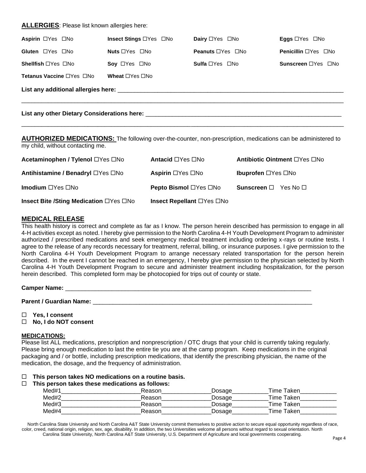### **ALLERGIES**: Please list known allergies here:

| <b>Aspirin</b> □Yes □No               | Insect Stings □Yes □No           | Dairy □Yes □No                      | <b>Eggs</b> $\Box$ Yes $\Box$ No       |  |  |
|---------------------------------------|----------------------------------|-------------------------------------|----------------------------------------|--|--|
| Gluten □Yes □No                       | <b>Nuts</b> $\Box$ Yes $\Box$ No | <b>Peanuts</b> $\Box$ Yes $\Box$ No | <b>Penicillin</b> $\Box$ Yes $\Box$ No |  |  |
| <b>Shellfish</b> $\Box$ Yes $\Box$ No | Soy $\Box$ Yes $\Box$ No         | <b>Sulfa</b> $\Box$ Yes $\Box$ No   | Sunscreen □Yes □No                     |  |  |
| Tetanus Vaccine □Yes □No              | Wheat $\Box$ Yes $\Box$ No       |                                     |                                        |  |  |
|                                       |                                  |                                     |                                        |  |  |
|                                       |                                  |                                     |                                        |  |  |

**AUTHORIZED MEDICATIONS:** The following over-the-counter, non-prescription, medications can be administered to my child, without contacting me.

| Acetaminophen / Tylenol □Yes □No       | Antacid □Yes □No             | <b>Antibiotic Ointment</b> □Yes □No   |
|----------------------------------------|------------------------------|---------------------------------------|
| Antihistamine / Benadryl □Yes □No      | <b>Aspirin</b> □Yes □No      | <b>Ibuprofen</b> $\Box$ Yes $\Box$ No |
| Imodium □Yes □No                       | <b>Pepto Bismol</b> □Yes □No | <b>Sunscreen</b> $\Box$ Yes No $\Box$ |
| Insect Bite /Sting Medication □Yes □No | Insect Repellant □Yes □No    |                                       |

## **MEDICAL RELEASE**

This health history is correct and complete as far as I know. The person herein described has permission to engage in all 4-H activities except as noted. I hereby give permission to the North Carolina 4-H Youth Development Program to administer authorized / prescribed medications and seek emergency medical treatment including ordering x-rays or routine tests. I agree to the release of any records necessary for treatment, referral, billing, or insurance purposes. I give permission to the North Carolina 4-H Youth Development Program to arrange necessary related transportation for the person herein described. In the event I cannot be reached in an emergency, I hereby give permission to the physician selected by North Carolina 4-H Youth Development Program to secure and administer treatment including hospitalization, for the person herein described. This completed form may be photocopied for trips out of county or state.

#### **Camper Name:** \_\_\_\_\_\_\_\_\_\_\_\_\_\_\_\_\_\_\_\_\_\_\_\_\_\_\_\_\_\_\_\_\_\_\_\_\_\_\_\_\_\_\_\_\_\_\_\_\_\_\_\_\_\_\_\_\_\_\_\_\_\_\_\_\_\_\_\_\_\_\_\_\_\_

**Parent / Guardian Name:** \_\_\_\_\_\_\_\_\_\_\_\_\_\_\_\_\_\_\_\_\_\_\_\_\_\_\_\_\_\_\_\_\_\_\_\_\_\_\_\_\_\_\_\_\_\_\_\_\_\_\_\_\_\_\_\_\_\_\_\_\_\_\_\_\_\_

- **Yes, I consent**
- **No, I do NOT consent**

#### **MEDICATIONS:**

Please list ALL medications, prescription and nonprescription / OTC drugs that your child is currently taking regularly. Please bring enough medication to last the entire tie you are at the camp program. Keep medications in the original packaging and / or bottle, including prescription medications, that identify the prescribing physician, the name of the medication, the dosage, and the frequency of administration.

**This person takes NO medications on a routine basis.**

#### **This person takes these medications as follows:**

| Med#1 | Reason | Dosage | Time Taken. |
|-------|--------|--------|-------------|
| Med#2 | Reason | Dosage | Time Taken  |
| Med#3 | Reason | Dosage | Time Taken  |
| Med#4 | Reason | Dosage | Time Taken  |

North Carolina State University and North Carolina A&T State University commit themselves to positive action to secure equal opportunity regardless of race, color, creed, national origin, religion, sex, age, disability. In addition, the two Universities welcome all persons without regard to sexual orientation. North Carolina State University, North Carolina A&T State University, U.S. Department of Agriculture and local governments cooperating.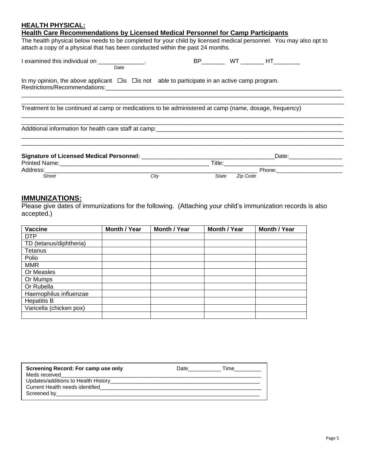## **HEALTH PHYSICAL:**

| Health Care Recommendations by Licensed Medical Personnel for Camp Participants                                                                                                                     |      |       |                           |
|-----------------------------------------------------------------------------------------------------------------------------------------------------------------------------------------------------|------|-------|---------------------------|
| The health physical below needs to be completed for your child by licensed medical personnel. You may also opt to<br>attach a copy of a physical that has been conducted within the past 24 months. |      |       |                           |
| I examined this individual on ______________.<br>Date                                                                                                                                               |      |       |                           |
| In my opinion, the above applicant $\Box$ is $\Box$ is not able to participate in an active camp program.                                                                                           |      |       |                           |
| Treatment to be continued at camp or medications to be administered at camp (name, dosage, frequency)                                                                                               |      |       |                           |
| Additional information for health care staff at camp:<br><u>Compare Compare Compare Compare Compare Compare Compare Compare Compare Compare Compare Compare Compare Compa</u>                       |      |       |                           |
|                                                                                                                                                                                                     |      |       | _Date:___________________ |
| Street                                                                                                                                                                                              | City | State | Zip Code                  |

## **IMMUNIZATIONS:**

Please give dates of immunizations for the following. (Attaching your child's immunization records is also accepted.)

| <b>Vaccine</b>          | Month / Year | Month / Year | <b>Month / Year</b> | Month / Year |
|-------------------------|--------------|--------------|---------------------|--------------|
| <b>DTP</b>              |              |              |                     |              |
| TD (tetanus/diphtheria) |              |              |                     |              |
| Tetanus                 |              |              |                     |              |
| Polio                   |              |              |                     |              |
| <b>MMR</b>              |              |              |                     |              |
| Or Measles              |              |              |                     |              |
| Or Mumps                |              |              |                     |              |
| Or Rubella              |              |              |                     |              |
| Haemophilus influenzae  |              |              |                     |              |
| <b>Hepatitis B</b>      |              |              |                     |              |
| Varicella (chicken pox) |              |              |                     |              |
|                         |              |              |                     |              |

| Screening Record: For camp use only<br>Meds received | Date the control of the control of the control of the control of the control of the control of the control of the control of the control of the control of the control of the control of the control of the control of the con | <b>Time</b> |
|------------------------------------------------------|--------------------------------------------------------------------------------------------------------------------------------------------------------------------------------------------------------------------------------|-------------|
| Current Health needs identified                      |                                                                                                                                                                                                                                |             |
|                                                      |                                                                                                                                                                                                                                |             |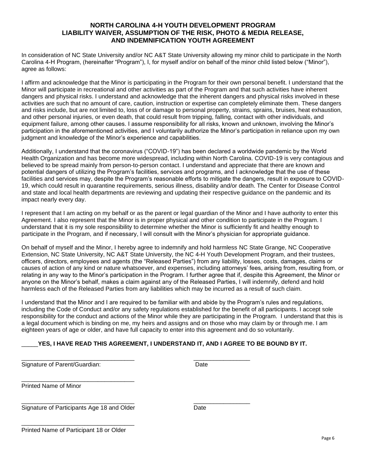## **NORTH CAROLINA 4-H YOUTH DEVELOPMENT PROGRAM LIABILITY WAIVER, ASSUMPTION OF THE RISK, PHOTO & MEDIA RELEASE, AND INDEMNIFICATION YOUTH AGREEMENT**

In consideration of NC State University and/or NC A&T State University allowing my minor child to participate in the North Carolina 4-H Program, (hereinafter "Program"), I, for myself and/or on behalf of the minor child listed below ("Minor"), agree as follows:

I affirm and acknowledge that the Minor is participating in the Program for their own personal benefit. I understand that the Minor will participate in recreational and other activities as part of the Program and that such activities have inherent dangers and physical risks. I understand and acknowledge that the inherent dangers and physical risks involved in these activities are such that no amount of care, caution, instruction or expertise can completely eliminate them. These dangers and risks include, but are not limited to, loss of or damage to personal property, strains, sprains, bruises, heat exhaustion, and other personal injuries, or even death, that could result from tripping, falling, contact with other individuals, and equipment failure, among other causes. I assume responsibility for all risks, known and unknown, involving the Minor's participation in the aforementioned activities, and I voluntarily authorize the Minor's participation in reliance upon my own judgment and knowledge of the Minor's experience and capabilities.

Additionally, I understand that the coronavirus ("COVID-19") has been declared a worldwide pandemic by the World Health Organization and has become more widespread, including within North Carolina. COVID-19 is very contagious and believed to be spread mainly from person-to-person contact. I understand and appreciate that there are known and potential dangers of utilizing the Program's facilities, services and programs, and I acknowledge that the use of these facilities and services may, despite the Program's reasonable efforts to mitigate the dangers, result in exposure to COVID-19, which could result in quarantine requirements, serious illness, disability and/or death. The Center for Disease Control and state and local health departments are reviewing and updating their respective guidance on the pandemic and its impact nearly every day.

I represent that I am acting on my behalf or as the parent or legal guardian of the Minor and I have authority to enter this Agreement. I also represent that the Minor is in proper physical and other condition to participate in the Program. I understand that it is my sole responsibility to determine whether the Minor is sufficiently fit and healthy enough to participate in the Program, and if necessary, I will consult with the Minor's physician for appropriate guidance.

On behalf of myself and the Minor, I hereby agree to indemnify and hold harmless NC State Grange, NC Cooperative Extension, NC State University, NC A&T State University, the NC 4-H Youth Development Program, and their trustees, officers, directors, employees and agents (the "Released Parties") from any liability, losses, costs, damages, claims or causes of action of any kind or nature whatsoever, and expenses, including attorneys' fees, arising from, resulting from, or relating in any way to the Minor's participation in the Program. I further agree that if, despite this Agreement, the Minor or anyone on the Minor's behalf, makes a claim against any of the Released Parties, I will indemnify, defend and hold harmless each of the Released Parties from any liabilities which may be incurred as a result of such claim.

I understand that the Minor and I are required to be familiar with and abide by the Program's rules and regulations, including the Code of Conduct and/or any safety regulations established for the benefit of all participants. I accept sole responsibility for the conduct and actions of the Minor while they are participating in the Program. I understand that this is a legal document which is binding on me, my heirs and assigns and on those who may claim by or through me. I am eighteen years of age or older, and have full capacity to enter into this agreement and do so voluntarily.

## YES, I HAVE READ THIS AGREEMENT, I UNDERSTAND IT, AND I AGREE TO BE BOUND BY IT.

| Signature of Parent/Guardian:              | Date |
|--------------------------------------------|------|
| <b>Printed Name of Minor</b>               |      |
| Signature of Participants Age 18 and Older | Date |
| Printed Name of Participant 18 or Older    |      |

Page 6